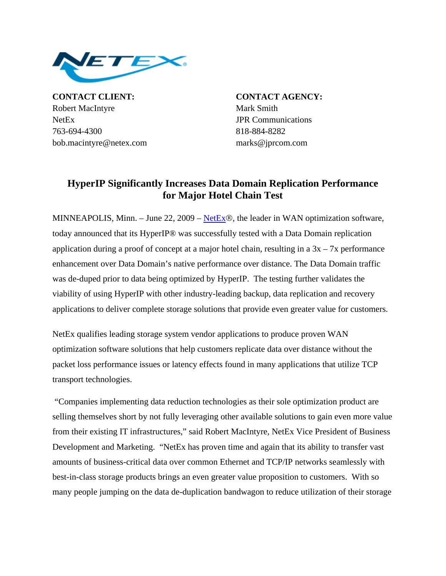

**CONTACT CLIENT: CONTACT AGENCY:** Robert MacIntyre Mark Smith NetEx JPR Communications 763-694-4300 818-884-8282 bob.macintyre@netex.com marks@jprcom.com

## **HyperIP Significantly Increases Data Domain Replication Performance for Major Hotel Chain Test**

MINNEAPOLIS, Minn. – June 22, 2009 – NetEx®, the leader in WAN optimization software, today announced that its HyperIP® was successfully tested with a Data Domain replication application during a proof of concept at a major hotel chain, resulting in a  $3x - 7x$  performance enhancement over Data Domain's native performance over distance. The Data Domain traffic was de-duped prior to data being optimized by HyperIP. The testing further validates the viability of using HyperIP with other industry-leading backup, data replication and recovery applications to deliver complete storage solutions that provide even greater value for customers.

NetEx qualifies leading storage system vendor applications to produce proven WAN optimization software solutions that help customers replicate data over distance without the packet loss performance issues or latency effects found in many applications that utilize TCP transport technologies.

 "Companies implementing data reduction technologies as their sole optimization product are selling themselves short by not fully leveraging other available solutions to gain even more value from their existing IT infrastructures," said Robert MacIntyre, NetEx Vice President of Business Development and Marketing. "NetEx has proven time and again that its ability to transfer vast amounts of business-critical data over common Ethernet and TCP/IP networks seamlessly with best-in-class storage products brings an even greater value proposition to customers. With so many people jumping on the data de-duplication bandwagon to reduce utilization of their storage